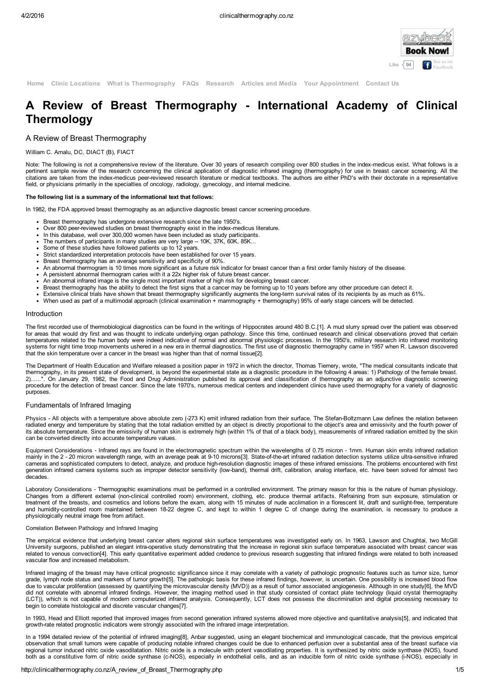

[Home](http://clinicalthermography.co.nz/Home.php) Clinic [Locations](http://clinicalthermography.co.nz/Clinic_Locations.php) What is [Thermography](http://clinicalthermography.co.nz/What_is_Thermography.php) [FAQs](http://clinicalthermography.co.nz/FAQs.php) [Research](http://clinicalthermography.co.nz/Research.php) [Articles](http://clinicalthermography.co.nz/Articles_and_Media.php) and Media Your [Appointment](http://clinicalthermography.co.nz/Your_Appointment.php) [Contact](http://clinicalthermography.co.nz/Contact_Us.php) Us

# A Review of Breast Thermography International Academy of Clinical Thermology

# A Review of Breast Thermography

# William C. Amalu, DC, DIACT (B), FIACT

Note: The following is not a comprehensive review of the literature. Over 30 years of research compiling over 800 studies in the index-medicus exist. What follows is a pertinent sample review of the research concerning the clinical application of diagnostic infrared imaging (thermography) for use in breast cancer screening. All the citations are taken from the indexmedicus peerreviewed research literature or medical textbooks. The authors are either PhD's with their doctorate in a representative field, or physicians primarily in the specialties of oncology, radiology, gynecology, and internal medicine.

# The following list is a summary of the informational text that follows:

In 1982, the FDA approved breast thermography as an adjunctive diagnostic breast cancer screening procedure.

- Breast thermography has undergone extensive research since the late 1950's.
- Over 800 peer-reviewed studies on breast thermography exist in the index-medicus literature.
- In this database, well over 300,000 women have been included as study participants.
- The numbers of participants in many studies are very large -- 10K, 37K, 60K, 85K...
- Some of these studies have followed patients up to 12 years.
- Strict standardized interpretation protocols have been established for over 15 years.
- Breast thermography has an average sensitivity and specificity of 90%.
- An abnormal thermogram is 10 times more significant as a future risk indicator for breast cancer than a first order family history of the disease.
- A persistent abnormal thermogram caries with it a 22x higher risk of future breast cancer.
- An abnormal infrared image is the single most important marker of high risk for developing breast cancer.
- Breast thermography has the ability to detect the first signs that a cancer may be forming up to 10 years before any other procedure can detect it.
- Extensive clinical trials have shown that breast thermography significantly augments the long-term survival rates of its recipients by as much as 61%.
- When used as part of a multimodal approach (clinical examination + mammography + thermography) 95% of early stage cancers will be detected.

# Introduction

The first recorded use of thermobiological diagnostics can be found in the writings of Hippocrates around 480 B.C.[1]. A mud slurry spread over the patient was observed for areas that would dry first and was thought to indicate underlying organ pathology. Since this time, continued research and clinical observations proved that certain temperatures related to the human body were indeed indicative of normal and abnormal physiologic processes. In the 1950's, military research into infrared monitoring systems for night time troop movements ushered in a new era in thermal diagnostics. The first use of diagnostic thermography came in 1957 when R. Lawson discovered that the skin temperature over a cancer in the breast was higher than that of normal tissue[2].

The Department of Health Education and Welfare released a position paper in 1972 in which the director, Thomas Tiernery, wrote, "The medical consultants indicate that thermography, in its present state of development, is beyond the experimental state as a diagnostic procedure in the following 4 areas: 1) Pathology of the female breast. 2)......". On January 29, 1982, the Food and Drug Administration published its approval and classification of thermography as an adjunctive diagnostic screening procedure for the detection of breast cancer. Since the late 1970's, numerous medical centers and independent clinics have used thermography for a variety of diagnostic purposes.

# Fundamentals of Infrared Imaging

Physics - All objects with a temperature above absolute zero (-273 K) emit infrared radiation from their surface. The Stefan-Boltzmann Law defines the relation between radiated energy and temperature by stating that the total radiation emitted by an object is directly proportional to the object's area and emissivity and the fourth power of its absolute temperature. Since the emissivity of human skin is extremely high (within 1% of that of a black body), measurements of infrared radiation emitted by the skin can be converted directly into accurate temperature values.

Equipment Considerations - Infrared rays are found in the electromagnetic spectrum within the wavelengths of 0.75 micron - 1mm. Human skin emits infrared radiation mainly in the 2 - 20 micron wavelength range, with an average peak at 9-10 microns[3]. State-of-the-art infrared radiation detection systems utilize ultra-sensitive infrared cameras and sophisticated computers to detect, analyze, and produce highresolution diagnostic images of these infrared emissions. The problems encountered with first generation infrared camera systems such as improper detector sensitivity (low-band), thermal drift, calibration, analog interface, etc. have been solved for almost two decades.

Laboratory Considerations - Thermographic examinations must be performed in a controlled environment. The primary reason for this is the nature of human physiology. Changes from a different external (nonclinical controlled room) environment, clothing, etc. produce thermal artifacts. Refraining from sun exposure, stimulation or treatment of the breasts, and cosmetics and lotions before the exam, along with 15 minutes of nude acclimation in a florescent lit, draft and sunlight-free, temperature and humidity-controlled room maintained between 18-22 degree C, and kept to within 1 degree C of change during the examination, is necessary to produce a physiologically neutral image free from artifact.

# Correlation Between Pathology and Infrared Imaging

The empirical evidence that underlying breast cancer alters regional skin surface temperatures was investigated early on. In 1963, Lawson and Chughtai, two McGill University surgeons, published an elegant intra-operative study demonstrating that the increase in regional skin surface temperature associated with breast cancer was related to venous convection[4]. This early quantitative experiment added credence to previous research suggesting that infrared findings were related to both increased vascular flow and increased metabolism.

Infrared imaging of the breast may have critical prognostic significance since it may correlate with a variety of pathologic prognostic features such as tumor size, tumor grade, lymph node status and markers of tumor growth[5]. The pathologic basis for these infrared findings, however, is uncertain. One possibility is increased blood flow due to vascular proliferation (assessed by quantifying the microvascular density (MVD)) as a result of tumor associated angiogenesis. Although in one study[6], the MVD did not correlate with abnormal infrared findings. However, the imaging method used in that study consisted of contact plate technology (liquid crystal thermography (LCT)), which is not capable of modern computerized infrared analysis. Consequently, LCT does not possess the discrimination and digital processing necessary to begin to correlate histological and discrete vascular changes[7].

In 1993, Head and Elliott reported that improved images from second generation infrared systems allowed more objective and quantitative analysis[5], and indicated that growth-rate related prognostic indicators were strongly associated with the infrared image interpretation.

In a 1994 detailed review of the potential of infrared imaging[8], Anbar suggested, using an elegant biochemical and immunological cascade, that the previous empirical observation that small tumors were capable of producing notable infrared changes could be due to enhanced perfusion over a substantial area of the breast surface via regional tumor induced nitric oxide vasodilatation. Nitric oxide is a molecule with potent vasodilating properties. It is synthesized by nitric oxide synthase (NOS), found both as a constitutive form of nitric oxide synthase (c-NOS), especially in endothelial cells, and as an inducible form of nitric oxide synthase (i-NOS), especially in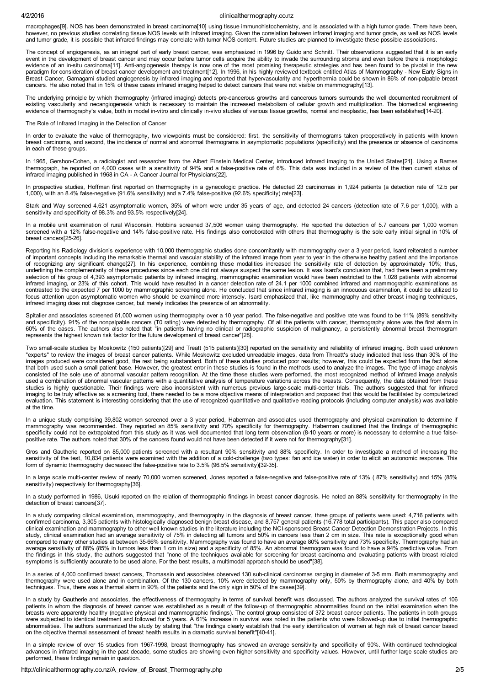#### 4/2/2016 clinicalthermography.co.nz

macrophages[9]. NOS has been demonstrated in breast carcinoma[10] using tissue immunohistochemistry, and is associated with a high tumor grade. There have been, however, no previous studies correlating tissue NOS levels with infrared imaging. Given the correlation between infrared imaging and tumor grade, as well as NOS levels and tumor grade, it is possible that infrared findings may correlate with tumor NOS content. Future studies are planned to investigate these possible associations.

The concept of angiogenesis, as an integral part of early breast cancer, was emphasized in 1996 by Guido and Schnitt. Their observations suggested that it is an early event in the development of breast cancer and may occur before tumor cells acquire the ability to invade the surrounding stroma and even before there is morphologic evidence of an in-situ carcinoma[11]. Anti-angiogenesis therapy is now one of the most promising therapeutic strategies and has been found to be pivotal in the new paradigm for consideration of breast cancer development and treatment[12]. In 1996, in his highly reviewed textbook entitled Atlas of Mammography - New Early Signs in Breast Cancer, Gamagami studied angiogenesis by infrared imaging and reported that hypervascularity and hyperthermia could be shown in 86% of nonpalpable breast cancers. He also noted that in 15% of these cases infrared imaging helped to detect cancers that were not visible on mammography[13].

The underlying principle by which thermography (infrared imaging) detects precancerous growths and cancerous tumors surrounds the well documented recruitment of existing vascularity and neoangiogenesis which is necessary to maintain the increased metabolism of cellular growth and multiplication. The biomedical engineering evidence of thermography's value, both in model in-vitro and clinically in-vivo studies of various tissue growths, normal and neoplastic, has been established[14-20].

The Role of Infrared Imaging in the Detection of Cancer

In order to evaluate the value of thermography, two viewpoints must be considered: first, the sensitivity of thermograms taken preoperatively in patients with known breast carcinoma, and second, the incidence of normal and abnormal thermograms in asymptomatic populations (specificity) and the presence or absence of carcinoma in each of these groups.

In 1965, Gershon-Cohen, a radiologist and researcher from the Albert Einstein Medical Center, introduced infrared imaging to the United States[21]. Using a Barnes thermograph, he reported on 4,000 cases with a sensitivity of 94% and a false-positive rate of 6%. This data was included in a review of the then current status of infrared imaging published in 1968 in CA - A Cancer Journal for Physicians[22].

In prospective studies, Hoffman first reported on thermography in a gynecologic practice. He detected 23 carcinomas in 1,924 patients (a detection rate of 12.5 per 1,000), with an 8.4% falsenegative (91.6% sensitivity) and a 7.4% falsepositive (92.6% specificity) rate[23].

Stark and Way screened 4,621 asymptomatic women, 35% of whom were under 35 years of age, and detected 24 cancers (detection rate of 7.6 per 1,000), with a sensitivity and specificity of 98.3% and 93.5% respectively[24].

In a mobile unit examination of rural Wisconsin, Hobbins screened 37,506 women using thermography. He reported the detection of 5.7 cancers per 1,000 women screened with a 12% false-negative and 14% false-positive rate. His findings also corroborated with others that thermography is the sole early initial signal in 10% of breast cancers[25-26].

Reporting his Radiology division's experience with 10,000 thermographic studies done concomitantly with mammography over a 3 year period, Isard reiterated a number of important concepts including the remarkable thermal and vascular stability of the infrared image from year to year in the otherwise healthy patient and the importance of recognizing any significant change[27]. In his experience, combining these modalities increased the sensitivity rate of detection by approximately 10%; thus, underlining the complementarity of these procedures since each one did not always suspect the same lesion. It was Isard's conclusion that, had there been a preliminary selection of his group of 4,393 asymptomatic patients by infrared imaging, mammographic examination would have been restricted to the 1,028 patients with abnormal infrared imaging, or 23% of this cohort. This would have resulted in a cancer detection rate of 24.1 per 1000 combined infrared and mammographic examinations as contrasted to the expected 7 per 1000 by mammographic screening alone. He concluded that since infrared imaging is an innocuous examination, it could be utilized to focus attention upon asymptomatic women who should be examined more intensely. Isard emphasized that, like mammography and other breast imaging techniques, infrared imaging does not diagnose cancer, but merely indicates the presence of an abnormality.

Spitalier and associates screened 61,000 women using thermography over a 10 year period. The falsenegative and positive rate was found to be 11% (89% sensitivity and specificity). 91% of the nonpalpable cancers (T0 rating) were detected by thermography. Of all the patients with cancer, thermography alone was the first alarm in 60% of the cases. The authors also noted that "in patients having no clinical or radiographic suspicion of malignancy, a persistently abnormal breast thermogram represents the highest known risk factor for the future development of breast cancer"[28].

Two smallscale studies by Moskowitz (150 patients)[29] and Treatt (515 patients)[30] reported on the sensitivity and reliability of infrared imaging. Both used unknown "experts" to review the images of breast cancer patients. While Moskowitz excluded unreadable images, data from Threatt's study indicated that less than 30% of the images produced were considered good, the rest being substandard. Both of these studies produced poor results; however, this could be expected from the fact alone that both used such a small patient base. However, the greatest error in these studies is found in the methods used to analyze the images. The type of image analysis consisted of the sole use of abnormal vascular pattern recognition. At the time these studies were performed, the most recognized method of infrared image analysis used a combination of abnormal vascular patterns with a quantitative analysis of temperature variations across the breasts. Consequently, the data obtained from these studies is highly questionable. Their findings were also inconsistent with numerous previous large-scale multi-center trials. The authors suggested that for infrared imaging to be truly effective as a screening tool, there needed to be a more objective means of interpretation and proposed that this would be facilitated by computerized evaluation. This statement is interesting considering that the use of recognized quantitative and qualitative reading protocols (including computer analysis) was available at the time.

In a unique study comprising 39,802 women screened over a 3 year period, Haberman and associates used thermography and physical examination to determine if mammography was recommended. They reported an 85% sensitivity and 70% specificity for thermography. Haberman cautioned that the findings of thermographic specificity could not be extrapolated from this study as it was well documented that long term observation (8-10 years or more) is necessary to determine a true falsepositive rate. The authors noted that 30% of the cancers found would not have been detected if it were not for thermography[31].

Gros and Gautherie reported on 85,000 patients screened with a resultant 90% sensitivity and 88% specificity. In order to investigate a method of increasing the sensitivity of the test, 10,834 patients were examined with the addition of a cold-challenge (two types: fan and ice water) in order to elicit an autonomic response. This form of dynamic thermography decreased the false-positive rate to 3.5% (96.5% sensitivity)[32-35].

In a large scale multi-center review of nearly 70,000 women screened, Jones reported a false-negative and false-positive rate of 13% (87% sensitivity) and 15% (85% sensitivity) respectively for thermography[36].

In a study performed in 1986, Usuki reported on the relation of thermographic findings in breast cancer diagnosis. He noted an 88% sensitivity for thermography in the detection of breast cancers[37].

In a study comparing clinical examination, mammography, and thermography in the diagnosis of breast cancer, three groups of patients were used: 4,716 patients with confirmed carcinoma, 3,305 patients with histologically diagnosed benign breast disease, and 8,757 general patients (16,778 total participants). This paper also compared clinical examination and mammography to other well known studies in the literature including the NCI-sponsored Breast Cancer Detection Demonstration Projects. In this study, clinical examination had an average sensitivity of 75% in detecting all tumors and 50% in cancers less than 2 cm in size. This rate is exceptionally good when compared to many other studies at between 3566% sensitivity. Mammography was found to have an average 80% sensitivity and 73% specificity. Thermography had an average sensitivity of 88% (85% in tumors less than 1 cm in size) and a specificity of 85%. An abnormal thermogram was found to have a 94% predictive value. From the findings in this study, the authors suggested that "none of the techniques available for screening for breast carcinoma and evaluating patients with breast related symptoms is sufficiently accurate to be used alone. For the best results, a multimodal approach should be used"[38].

In a series of 4,000 confirmed breast cancers, Thomassin and associates observed 130 sub-clinical carcinomas ranging in diameter of 3-5 mm. Both mammography and thermography were used alone and in combination. Of the 130 cancers, 10% were detected by mammography only, 50% by thermography alone, and 40% by both techniques. Thus, there was a thermal alarm in 90% of the patients and the only sign in 50% of the cases[39].

In a study by Gautherie and associates, the effectiveness of thermography in terms of survival benefit was discussed. The authors analyzed the survival rates of 106 patients in whom the diagnosis of breast cancer was established as a result of the follow-up of thermographic abnormalities found on the initial examination when the breasts were apparently healthy (negative physical and mammographic findings). The control group consisted of 372 breast cancer patients. The patients in both groups were subjected to identical treatment and followed for 5 years. A 61% increase in survival was noted in the patients who were followed up due to initial thermographic abnormalities. The authors summarized the study by stating that "the findings clearly establish that the early identification of women at high risk of breast cancer based on the objective thermal assessment of breast health results in a dramatic survival benefit"[4041].

In a simple review of over 15 studies from 1967-1998, breast thermography has showed an average sensitivity and specificity of 90%. With continued technological advances in infrared imaging in the past decade, some studies are showing even higher sensitivity and specificity values. However, until further large scale studies are performed, these findings remain in question.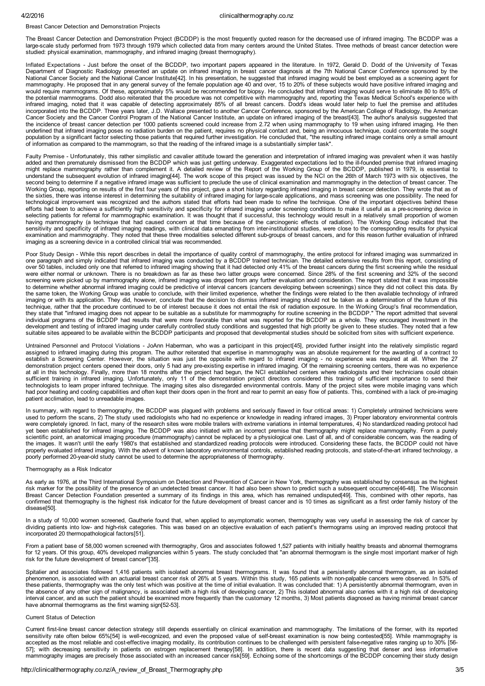#### Breast Cancer Detection and Demonstration Projects

The Breast Cancer Detection and Demonstration Project (BCDDP) is the most frequently quoted reason for the decreased use of infrared imaging. The BCDDP was a large-scale study performed from 1973 through 1979 which collected data from many centers around the United States. Three methods of breast cancer detection were studied: physical examination, mammography, and infrared imaging (breast thermography).

Inflated Expectations - Just before the onset of the BCDDP, two important papers appeared in the literature. In 1972, Gerald D. Dodd of the University of Texas Department of Diagnostic Radiology presented an update on infrared imaging in breast cancer diagnosis at the 7th National Cancer Conference sponsored by the National Cancer Society and the National Cancer Institute[42]. In his presentation, he suggested that infrared imaging would be best employed as a screening agent for mammography. He proposed that in any general survey of the female population age 40 and over, 15 to 20% of these subjects would have positive infrared imaging and would require mammograms. Of these, approximately 5% would be recommended for biopsy. He concluded that infrared imaging would serve to eliminate 80 to 85% of the potential mammograms. Dodd also reiterated that the procedure was not competitive with mammography and, reporting the Texas Medical School's experience with infrared imaging, noted that it was capable of detecting approximately 85% of all breast cancers. Dodd's ideas would later help to fuel the premise and attitudes incorporated into the BCDDP. Three years later, J.D. Wallace presented to another Cancer Conference, sponsored by the American College of Radiology, the American Cancer Society and the Cancer Control Program of the National Cancer Institute, an update on infrared imaging of the breast[43]. The author's analysis suggested that the incidence of breast cancer detection per 1000 patients screened could increase from 2.72 when using mammography to 19 when using infrared imaging. He then underlined that infrared imaging poses no radiation burden on the patient, requires no physical contact and, being an innocuous technique, could concentrate the sought population by a significant factor selecting those patients that required further investigation. He concluded that, "the resulting infrared image contains only a small amount of information as compared to the mammogram, so that the reading of the infrared image is a substantially simpler task".

Faulty Premise - Unfortunately, this rather simplistic and cavalier attitude toward the generation and interpretation of infrared imaging was prevalent when it was hastily added and then prematurely dismissed from the BCDDP which was just getting underway. Exaggerated expectations led to the ill-founded premise that infrared imaging might replace mammography rather than complement it. A detailed review of the Report of the Working Group of the BCDDP, published in 1979, is essential to understand the subsequent evolution of infrared imaging[44]. The work scope of this project was issued by the NCI on the 26th of March 1973 with six objectives, the second being to determine if a negative infrared image was sufficient to preclude the use of clinical examination and mammography in the detection of breast cancer. The Working Group, reporting on results of the first four years of this project, gave a short history regarding infrared imaging in breast cancer detection. They wrote that as of the sixties, there was intense interest in determining the suitability of infrared imaging for largescale applications, and mass screening was one possibility. The need for technological improvement was recognized and the authors stated that efforts had been made to refine the technique. One of the important objectives behind these efforts had been to achieve a sufficiently high sensitivity and specificity for infrared imaging under screening conditions to make it useful as a pre-screening device in selecting patients for referral for mammographic examination. It was thought that if successful, this technology would result in a relatively small proportion of women having mammography (a technique that had caused concern at that time because of the carcinogenic effects of radiation). The Working Group indicated that the sensitivity and specificity of infrared imaging readings, with clinical data emanating from inter-institutional studies, were close to the corresponding results for physical examination and mammography. They noted that these three modalities selected different subgroups of breast cancers, and for this reason further evaluation of infrared imaging as a screening device in a controlled clinical trial was recommended.

Poor Study Design - While this report describes in detail the importance of quality control of mammography, the entire protocol for infrared imaging was summarized in one paragraph and simply indicated that infrared imaging was conducted by a BCDDP trained technician. The detailed extensive results from this report, consisting of over 50 tables, included only one that referred to infrared imaging showing that it had detected only 41% of the breast cancers during the first screening while the residual were either normal or unknown. There is no breakdown as far as these two latter groups were concerned. Since 28% of the first screening and 32% of the second screening were picked up by mammography alone, infrared imaging was dropped from any further evaluation and consideration. The report stated that it was impossible to determine whether abnormal infrared imaging could be predictive of interval cancers (cancers developing between screenings) since they did not collect this data. By the same token, the Working Group was unable to conclude, with their limited experience, whether the findings were related to the then available technology of infrared imaging or with its application. They did, however, conclude that the decision to dismiss infrared imaging should not be taken as a determination of the future of this technique, rather that the procedure continued to be of interest because it does not entail the risk of radiation exposure. In the Working Group's final recommendation, they state that "infrared imaging does not appear to be suitable as a substitute for mammography for routine screening in the BCDDP." The report admitted that several individual programs of the BCDDP had results that were more favorable than what was reported for the BCDDP as a whole. They encouraged investment in the development and testing of infrared imaging under carefully controlled study conditions and suggested that high priority be given to these studies. They noted that a few suitable sites appeared to be available within the BCDDP participants and proposed that developmental studies should be solicited from sites with sufficient experience.

Untrained Personnel and Protocol Violations JoAnn Haberman, who was a participant in this project[45], provided further insight into the relatively simplistic regard assigned to infrared imaging during this program. The author reiterated that expertise in mammography was an absolute requirement for the awarding of a contract to establish a Screening Center. However, the situation was just the opposite with regard to infrared imaging - no experience was required at all. When the 27 demonstration project centers opened their doors, only 5 had any pre-existing expertise in infrared imaging. Of the remaining screening centers, there was no experience at all in this technology. Finally, more than 18 months after the project had begun, the NCI established centers where radiologists and their technicians could obtain sufficient training in infrared imaging. Unfortunately, only 11 of the demonstration project directors considered this training of sufficient importance to send their technologists to learn proper infrared technique. The imaging sites also disregarded environmental controls. Many of the project sites were mobile imaging vans which had poor heating and cooling capabilities and often kept their doors open in the front and rear to permit an easy flow of patients. This, combined with a lack of pre-imaging patient acclimation, lead to unreadable images.

In summary, with regard to thermography, the BCDDP was plagued with problems and seriously flawed in four critical areas: 1) Completely untrained technicians were used to perform the scans, 2) The study used radiologists who had no experience or knowledge in reading infrared images, 3) Proper laboratory environmental controls were completely ignored. In fact, many of the research sites were mobile trailers with extreme variations in internal temperatures, 4) No standardized reading protocol had yet been established for infrared imaging. The BCDDP was also initiated with an incorrect premise that thermography might replace mammography. From a purely scientific point, an anatomical imaging procedure (mammography) cannot be replaced by a physiological one. Last of all, and of considerable concern, was the reading of the images. It wasn't until the early 1980's that established and standardized reading protocols were introduced. Considering these facts, the BCDDP could not have properly evaluated infrared imaging. With the advent of known laboratory environmental controls, established reading protocols, and state-of-the-art infrared technology, a poorly performed 20-year-old study cannot be used to determine the appropriateness of thermography.

### Thermography as a Risk Indicator

As early as 1976, at the Third International Symposium on Detection and Prevention of Cancer in New York, thermography was established by consensus as the highest risk marker for the possibility of the presence of an undetected breast cancer. It had also been shown to predict such a subsequent occurrence[4648]. The Wisconsin Breast Cancer Detection Foundation presented a summary of its findings in this area, which has remained undisputed[49]. This, combined with other reports, has confirmed that thermography is the highest risk indicator for the future development of breast cancer and is 10 times as significant as a first order family history of the disease[50].

In a study of 10,000 women screened, Gautherie found that, when applied to asymptomatic women, thermography was very useful in assessing the risk of cancer by dividing patients into low and highrisk categories. This was based on an objective evaluation of each patient's thermograms using an improved reading protocol that incorporated 20 thermopathological factors[51].

From a patient base of 58,000 women screened with thermography, Gros and associates followed 1,527 patients with initially healthy breasts and abnormal thermograms for 12 years. Of this group, 40% developed malignancies within 5 years. The study concluded that "an abnormal thermogram is the single most important marker of high risk for the future development of breast cancer"[35].

Spitalier and associates followed 1,416 patients with isolated abnormal breast thermograms. It was found that a persistently abnormal thermogram, as an isolated phenomenon, is associated with an actuarial breast cancer risk of 26% at 5 years. Within this study, 165 patients with non-palpable cancers were observed. In 53% of these patients, thermography was the only test which was positive at the time of initial evaluation. It was concluded that: 1) A persistently abnormal thermogram, even in the absence of any other sign of malignancy, is associated with a high risk of developing cancer, 2) This isolated abnormal also carries with it a high risk of developing interval cancer, and as such the patient should be examined more frequently than the customary 12 months, 3) Most patients diagnosed as having minimal breast cancer have abnormal thermograms as the first warning sign[52-53].

# Current Status of Detection

Current firstline breast cancer detection strategy still depends essentially on clinical examination and mammography. The limitations of the former, with its reported sensitivity rate often below 65%[54] is well-recognized, and even the proposed value of self-breast examination is now being contested[55]. While mammography is accepted as the most reliable and cost-effective imaging modality, its contribution continues to be challenged with persistent false-negative rates ranging up to 30% [56-57]; with decreasing sensitivity in patients on estrogen replacement therapy[58]. In addition, there is recent data suggesting that denser and less informative mammography images are precisely those associated with an increased cancer risk[59]. Echoing some of the shortcomings of the BCDDP concerning their study design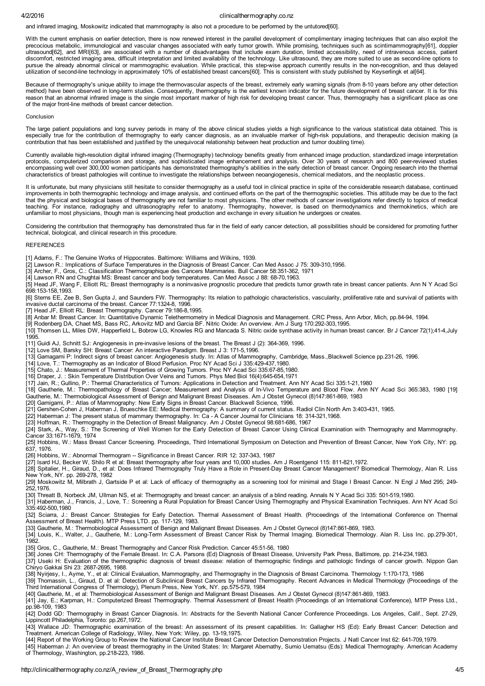#### 4/2/2016 clinicalthermography.co.nz

#### and infrared imaging, Moskowitz indicated that mammography is also not a procedure to be performed by the untutored[60].

With the current emphasis on earlier detection, there is now renewed interest in the parallel development of complimentary imaging techniques that can also exploit the precocious metabolic, immunological and vascular changes associated with early tumor growth. While promising, techniques such as scintimammography[61], doppler ultrasound[62], and MRI[63], are associated with a number of disadvantages that include exam duration, limited accessibility, need of intravenous access, patient discomfort, restricted imaging area, difficult interpretation and limited availability of the technology. Like ultrasound, they are more suited to use as secondline options to pursue the already abnormal clinical or mammographic evaluation. While practical, this stepwise approach currently results in the nonrecognition, and thus delayed utilization of secondline technology in approximately 10% of established breast cancers[60]. This is consistent with study published by Keyserlingk et al[64].

Because of thermography's unique ability to image the thermovascular aspects of the breast, extremely early warning signals (from 8-10 years before any other detection method) have been observed in longterm studies. Consequently, thermography is the earliest known indicator for the future development of breast cancer. It is for this reason that an abnormal infrared image is the single most important marker of high risk for developing breast cancer. Thus, thermography has a significant place as one of the major front-line methods of breast cancer detection.

#### Conclusion

The large patient populations and long survey periods in many of the above clinical studies yields a high significance to the various statistical data obtained. This is especially true for the contribution of thermography to early cancer diagnosis, as an invaluable marker of high-risk populations, and therapeutic decision making (a contribution that has been established and justified by the unequivocal relationship between heat production and tumor doubling time).

Currently available highresolution digital infrared imaging (Thermography) technology benefits greatly from enhanced image production, standardized image interpretation protocols, computerized comparison and storage, and sophisticated image enhancement and analysis. Over 30 years of research and 800 peerreviewed studies encompassing well over 300,000 women participants has demonstrated thermography's abilities in the early detection of breast cancer. Ongoing research into the thermal characteristics of breast pathologies will continue to investigate the relationships between neoangiogenesis, chemical mediators, and the neoplastic process.

It is unfortunate, but many physicians still hesitate to consider thermography as a useful tool in clinical practice in spite of the considerable research database, continued improvements in both thermographic technology and image analysis, and continued efforts on the part of the thermographic societies. This attitude may be due to the fact that the physical and biological bases of thermography are not familiar to most physicians. The other methods of cancer investigations refer directly to topics of medical teaching. For instance, radiography and ultrasonography refer to anatomy. Thermography, however, is based on thermodynamics and thermokinetics, which are unfamiliar to most physicians, though man is experiencing heat production and exchange in every situation he undergoes or creates.

Considering the contribution that thermography has demonstrated thus far in the field of early cancer detection, all possibilities should be considered for promoting further technical, biological, and clinical research in this procedure.

### **REFERENCES**

[1] Adams, F.: The Genuine Works of Hippocrates. Baltimore: Williams and Wilkins, 1939.

[2] Lawson R.: Implications of Surface Temperatures in the Diagnosis of Breast Cancer. Can Med Assoc J 75: 309310,1956.

[3] Archer, F., Gros, C.: Classification Thermographique des Cancers Mammaries. Bull Cancer 58:351362, 1971

[4] Lawson RN and Chughtai MS: Breast cancer and body temperatures. Can Med Assoc J 88: 68-70,1963.

[5] Head JF, Wang F, Elliott RL: Breast thermography is a noninvasive prognostic procedure that predicts tumor growth rate in breast cancer patients. Ann N Y Acad Sci 698:153-158,1993.

[6] Sterns EE, Zee B, Sen Gupta J, and Saunders FW. Thermography: Its relation to pathologic characteristics, vascularity, proliferative rate and survival of patients with invasive ductal carcinoma of the breast. Cancer 77:1324-8, 1996.

[7] Head JF, Elliott RL: Breast Thermography. Cancer 79:186-8,1995.

[8] Anbar M: Breast Cancer. In: Quantitative Dynamic Telethermometry in Medical Diagnosis and Management. CRC Press, Ann Arbor, Mich, pp.8494, 1994.

[9] Rodenberg DA, Chaet MS, Bass RC, Arkovitz MD and Garcia BF. Nitric Oxide: An overview. Am J Surg 170:292303,1995.

[10] Thomsen LL, Miles DW, Happerfield L, Bobrow LG, Knowles RG and Mancada S. Nitric oxide synthase activity in human breast cancer. Br J Cancer 72(1);414,July 1995.

[11] Guidi AJ, Schnitt SJ: Angiogenesis in preinvasive lesions of the breast. The Breast J (2): 364369, 1996.

[12] Love SM, Barsky SH: Breast Cancer: An interactive Paradigm. Breast J 3: 1715,1996.

[13] Gamagami P: Indirect signs of breast cancer: Angiogenesis study. In: Atlas of Mammography, Cambridge, Mass.,Blackwell Science pp.23126, 1996.

[14] Love, T.: Thermography as an Indicator of Blood Perfusion. Proc NY Acad Sci J 335:429437,1980.

[15] Chato, J.: Measurement of Thermal Properties of Growing Tumors. Proc NY Acad Sci 335:67-85,1980.

[16] Draper, J. : Skin Temperature Distribution Over Veins and Tumors. Phys Med Biol 16(4):645654,1971

[17] Jain, R.; Gullino, P.: Thermal Characteristics of Tumors: Applications in Detection and Treatment. Ann NY Acad Sci 335:121,1980

[18] Gautherie, M.: Thermopathology of Breast Cancer; Measurement and Analysis of InVivo Temperature and Blood Flow. Ann NY Acad Sci 365:383, 1980 [19] Gautherie, M.: Thermobiological Assessment of Benign and Malignant Breast Diseases. Am J Obstet Gynecol (8)147:861-869, 1983

[20] Gamigami, P.: Atlas of Mammography: New Early Signs in Breast Cancer. Blackwell Science, 1996.

[21] Gershen-Cohen J, Haberman J, Brueschke EE: Medical thermography: A summary of current status. Radiol Clin North Am 3:403-431, 1965.

[22] Haberman J: The present status of mammary thermography. In: Ca A Cancer Journal for Clinicians 18: 314321,1968.

[23] Hoffman, R.: Thermography in the Detection of Breast Malignancy. Am J Obstet Gynecol 98:681-686, 1967

[24] Stark, A., Way, S.: The Screening of Well Women for the Early Detection of Breast Cancer Using Clinical Examination with Thermography and Mammography. Cancer 33:1671-1679, 1974

[25] Hobbins, W.: Mass Breast Cancer Screening. Proceedings, Third International Symposium on Detection and Prevention of Breast Cancer, New York City, NY: pg. 637, 1976.

[26] Hobbins, W.: Abnormal Thermogram -- Significance in Breast Cancer. RIR 12: 337-343, 1987

[27] Isard HJ, Becker W, Shilo R et al: Breast thermography after four years and 10,000 studies. Am J Roentgenol 115: 811-821,1972.

[28] Spitalier, H., Giraud, D., et al: Does Infrared Thermography Truly Have a Role in Present-Day Breast Cancer Management? Biomedical Thermology, Alan R. Liss New York, NY. pp. 269-278, 1982

[29] Moskowitz M, Milbrath J, Gartside P et al: Lack of efficacy of thermography as a screening tool for minimal and Stage I Breast Cancer. N Engl J Med 295; 249 252,1976.

[30] Threatt B, Norbeck JM, Ullman NS, et al: Thermography and breast cancer: an analysis of a blind reading. Annals N Y Acad Sci 335: 501519,1980.

[31] Haberman, J., Francis, J., Love, T.: Screening a Rural Population for Breast Cancer Using Thermography and Physical Examination Techniques. Ann NY Acad Sci 335:492-500,1980

[32] Sciarra, J.: Breast Cancer: Strategies for Early Detection. Thermal Assessment of Breast Health. (Proceedings of the International Conference on Thermal Assessment of Breast Health). MTP Press LTD. pp. 117-129, 1983.

[33] Gautherie, M.: Thermobiological Assessment of Benign and Malignant Breast Diseases. Am J Obstet Gynecol (8)147:861-869, 1983. [34] Louis, K., Walter, J., Gautherie, M.: LongTerm Assessment of Breast Cancer Risk by Thermal Imaging. Biomedical Thermology. Alan R. Liss Inc. pp.279301, 1982.

[35] Gros, C., Gautherie, M.: Breast Thermography and Cancer Risk Prediction. Cancer 45:51-56, 1980

[36] Jones CH: Thermography of the Female Breast. In: C.A. Parsons (Ed) Diagnosis of Breast Disease, University Park Press, Baltimore, pp. 214234,1983.

[37] Useki H: Evaluation of the thermographic diagnosis of breast disease: relation of thermographic findings and pathologic findings of cancer growth. Nippon Gan Chiryo Gakkai Shi 23: 2687-2695, 1988.

[38] Nyirjesy, I., Ayme, Y., et al: Clinical Evaluation, Mammography, and Thermography in the Diagnosis of Breast Carcinoma. Thermology 1:170173, 1986

[39] Thomassin, L., Giraud, D. et al: Detection of Subclinical Breast Cancers by Infrared Thermography. Recent Advances in Medical Thermology (Proceedings of the Third International Congress of Thermology), Plenum Press, New York, NY. pp.575579, 1984

[40] Gautherie, M., et al: Thermobiological Assessment of Benign and Malignant Breast Diseases. Am J Obstet Gynecol (8)147:861-869, 1983.

[41] Jay, E.; Karpman, H.: Computerized Breast Thermography. Thermal Assessment of Breast Health (Proceedings of an International Conference), MTP Press Ltd., pp.98-109, 1983

[42] Dodd GD: Thermography in Breast Cancer Diagnosis. In: Abstracts for the Seventh National Cancer Conference Proceedings. Los Angeles, Calif., Sept. 2729, Lippincott Philadelphia, Toronto: pp.267,1972.

[43] Wallace JD: Thermographic examination of the breast: An assessment of its present capabilities. In: Gallagher HS (Ed): Early Breast Cancer: Detection and Treatment. American College of Radiology, Wiley, New York: Wiley, pp. 13-19,1975.

[44] Report of the Working Group to Review the National Cancer Institute Breast Cancer Detection Demonstration Projects. J Natl Cancer Inst 62: 641709,1979.

[45] Haberman J: An overview of breast thermography in the United States: In: Margaret Abernathy, Sumio Uematsu (Eds): Medical Thermography. American Academy of Thermology, Washington, pp.218-223, 1986.